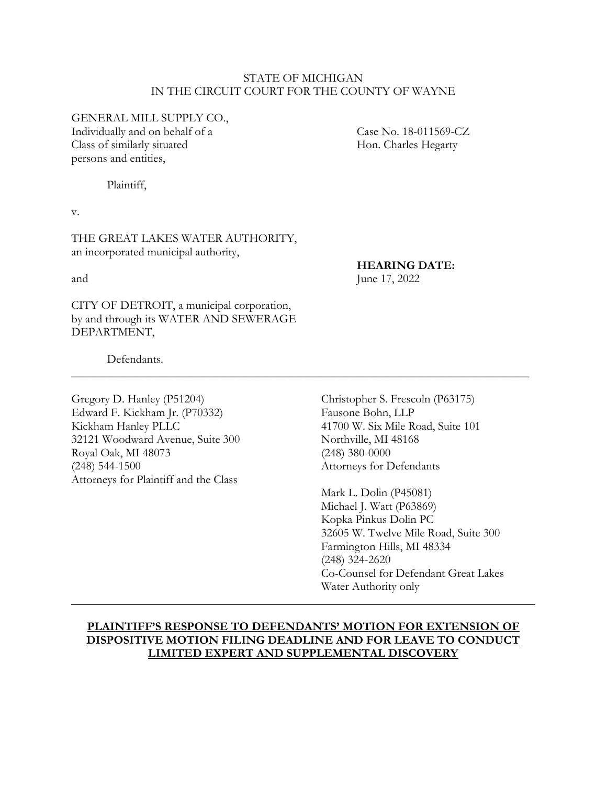#### STATE OF MICHIGAN IN THE CIRCUIT COURT FOR THE COUNTY OF WAYNE

GENERAL MILL SUPPLY CO.,

Individually and on behalf of a Case No. 18-011569-CZ Class of similarly situated Hon. Charles Hegarty persons and entities,

Plaintiff,

v.

THE GREAT LAKES WATER AUTHORITY, an incorporated municipal authority,

### **HEARING DATE:**

and June 17, 2022

CITY OF DETROIT, a municipal corporation, by and through its WATER AND SEWERAGE DEPARTMENT,

Defendants.

Gregory D. Hanley (P51204) Christopher S. Frescoln (P63175) Edward F. Kickham Jr. (P70332) Fausone Bohn, LLP Kickham Hanley PLLC 41700 W. Six Mile Road, Suite 101 32121 Woodward Avenue, Suite 300 Northville, MI 48168 Royal Oak, MI 48073 (248) 380-0000 (248) 544-1500 Attorneys for Defendants Attorneys for Plaintiff and the Class

Mark L. Dolin (P45081) Michael J. Watt (P63869) Kopka Pinkus Dolin PC 32605 W. Twelve Mile Road, Suite 300 Farmington Hills, MI 48334 (248) 324-2620 Co-Counsel for Defendant Great Lakes Water Authority only

## **PLAINTIFF'S RESPONSE TO DEFENDANTS' MOTION FOR EXTENSION OF DISPOSITIVE MOTION FILING DEADLINE AND FOR LEAVE TO CONDUCT LIMITED EXPERT AND SUPPLEMENTAL DISCOVERY**

**\_\_\_\_\_\_\_\_\_\_\_\_\_\_\_\_\_\_\_\_\_\_\_\_\_\_\_\_\_\_\_\_\_\_\_\_\_\_\_\_\_\_\_\_\_\_\_\_\_\_\_\_\_\_\_\_\_\_\_\_\_\_\_\_\_\_\_\_\_\_\_\_\_\_\_\_\_\_**

\_\_\_\_\_\_\_\_\_\_\_\_\_\_\_\_\_\_\_\_\_\_\_\_\_\_\_\_\_\_\_\_\_\_\_\_\_\_\_\_\_\_\_\_\_\_\_\_\_\_\_\_\_\_\_\_\_\_\_\_\_\_\_\_\_\_\_\_\_\_\_\_\_\_\_\_\_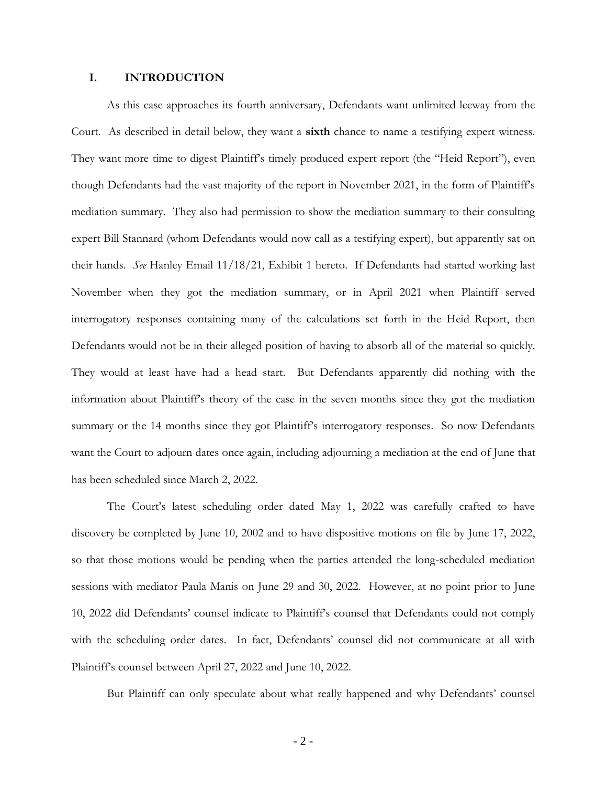#### **I. INTRODUCTION**

As this case approaches its fourth anniversary, Defendants want unlimited leeway from the Court. As described in detail below, they want a **sixth** chance to name a testifying expert witness. They want more time to digest Plaintiff's timely produced expert report (the "Heid Report"), even though Defendants had the vast majority of the report in November 2021, in the form of Plaintiff's mediation summary. They also had permission to show the mediation summary to their consulting expert Bill Stannard (whom Defendants would now call as a testifying expert), but apparently sat on their hands. *See* Hanley Email 11/18/21, Exhibit 1 hereto. If Defendants had started working last November when they got the mediation summary, or in April 2021 when Plaintiff served interrogatory responses containing many of the calculations set forth in the Heid Report, then Defendants would not be in their alleged position of having to absorb all of the material so quickly. They would at least have had a head start. But Defendants apparently did nothing with the information about Plaintiff's theory of the case in the seven months since they got the mediation summary or the 14 months since they got Plaintiff's interrogatory responses. So now Defendants want the Court to adjourn dates once again, including adjourning a mediation at the end of June that has been scheduled since March 2, 2022.

The Court's latest scheduling order dated May 1, 2022 was carefully crafted to have discovery be completed by June 10, 2002 and to have dispositive motions on file by June 17, 2022, so that those motions would be pending when the parties attended the long-scheduled mediation sessions with mediator Paula Manis on June 29 and 30, 2022. However, at no point prior to June 10, 2022 did Defendants' counsel indicate to Plaintiff's counsel that Defendants could not comply with the scheduling order dates. In fact, Defendants' counsel did not communicate at all with Plaintiff's counsel between April 27, 2022 and June 10, 2022.

But Plaintiff can only speculate about what really happened and why Defendants' counsel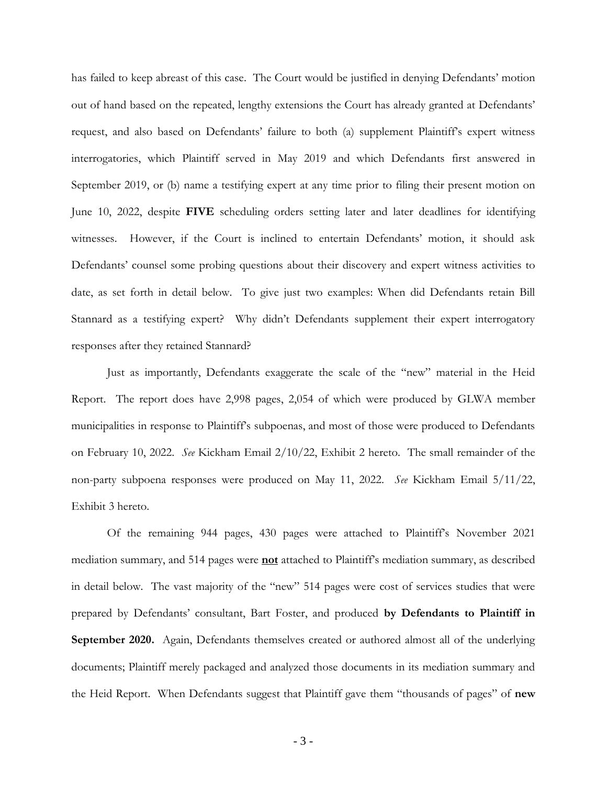has failed to keep abreast of this case. The Court would be justified in denying Defendants' motion out of hand based on the repeated, lengthy extensions the Court has already granted at Defendants' request, and also based on Defendants' failure to both (a) supplement Plaintiff's expert witness interrogatories, which Plaintiff served in May 2019 and which Defendants first answered in September 2019, or (b) name a testifying expert at any time prior to filing their present motion on June 10, 2022, despite **FIVE** scheduling orders setting later and later deadlines for identifying witnesses. However, if the Court is inclined to entertain Defendants' motion, it should ask Defendants' counsel some probing questions about their discovery and expert witness activities to date, as set forth in detail below. To give just two examples: When did Defendants retain Bill Stannard as a testifying expert? Why didn't Defendants supplement their expert interrogatory responses after they retained Stannard?

Just as importantly, Defendants exaggerate the scale of the "new" material in the Heid Report. The report does have 2,998 pages, 2,054 of which were produced by GLWA member municipalities in response to Plaintiff's subpoenas, and most of those were produced to Defendants on February 10, 2022. *See* Kickham Email 2/10/22, Exhibit 2 hereto. The small remainder of the non-party subpoena responses were produced on May 11, 2022. *See* Kickham Email 5/11/22, Exhibit 3 hereto.

Of the remaining 944 pages, 430 pages were attached to Plaintiff's November 2021 mediation summary, and 514 pages were **not** attached to Plaintiff's mediation summary, as described in detail below. The vast majority of the "new" 514 pages were cost of services studies that were prepared by Defendants' consultant, Bart Foster, and produced **by Defendants to Plaintiff in September 2020.** Again, Defendants themselves created or authored almost all of the underlying documents; Plaintiff merely packaged and analyzed those documents in its mediation summary and the Heid Report. When Defendants suggest that Plaintiff gave them "thousands of pages" of **new**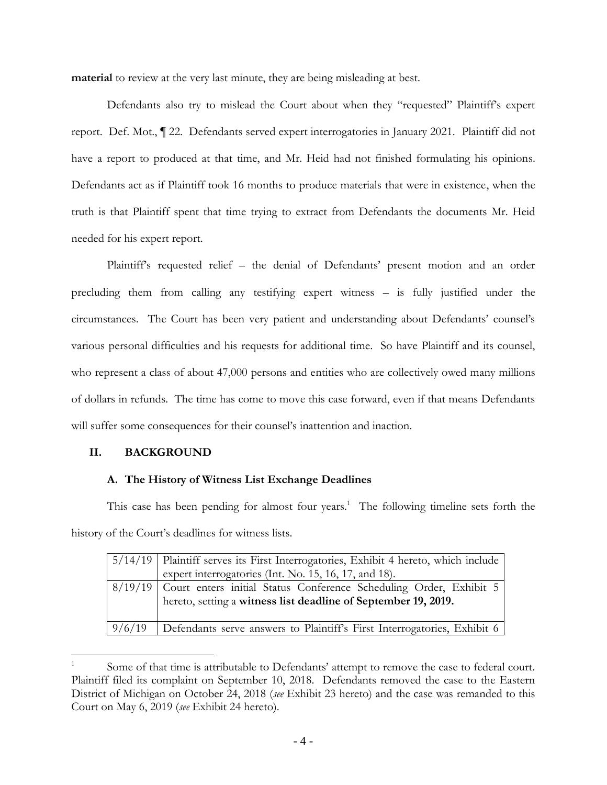**material** to review at the very last minute, they are being misleading at best.

Defendants also try to mislead the Court about when they "requested" Plaintiff's expert report. Def. Mot., ¶ 22. Defendants served expert interrogatories in January 2021. Plaintiff did not have a report to produced at that time, and Mr. Heid had not finished formulating his opinions. Defendants act as if Plaintiff took 16 months to produce materials that were in existence, when the truth is that Plaintiff spent that time trying to extract from Defendants the documents Mr. Heid needed for his expert report.

Plaintiff's requested relief – the denial of Defendants' present motion and an order precluding them from calling any testifying expert witness – is fully justified under the circumstances. The Court has been very patient and understanding about Defendants' counsel's various personal difficulties and his requests for additional time. So have Plaintiff and its counsel, who represent a class of about 47,000 persons and entities who are collectively owed many millions of dollars in refunds. The time has come to move this case forward, even if that means Defendants will suffer some consequences for their counsel's inattention and inaction.

## **II. BACKGROUND**

### **A. The History of Witness List Exchange Deadlines**

This case has been pending for almost four years.<sup>1</sup> The following timeline sets forth the history of the Court's deadlines for witness lists.

|        | 5/14/19   Plaintiff serves its First Interrogatories, Exhibit 4 hereto, which include                                                            |  |
|--------|--------------------------------------------------------------------------------------------------------------------------------------------------|--|
|        | expert interrogatories (Int. No. 15, 16, 17, and 18).                                                                                            |  |
|        | 8/19/19   Court enters initial Status Conference Scheduling Order, Exhibit 5  <br>hereto, setting a witness list deadline of September 19, 2019. |  |
| 9/6/19 | Defendants serve answers to Plaintiff's First Interrogatories, Exhibit 6                                                                         |  |

<sup>1</sup> Some of that time is attributable to Defendants' attempt to remove the case to federal court. Plaintiff filed its complaint on September 10, 2018. Defendants removed the case to the Eastern District of Michigan on October 24, 2018 (*see* Exhibit 23 hereto) and the case was remanded to this Court on May 6, 2019 (*see* Exhibit 24 hereto).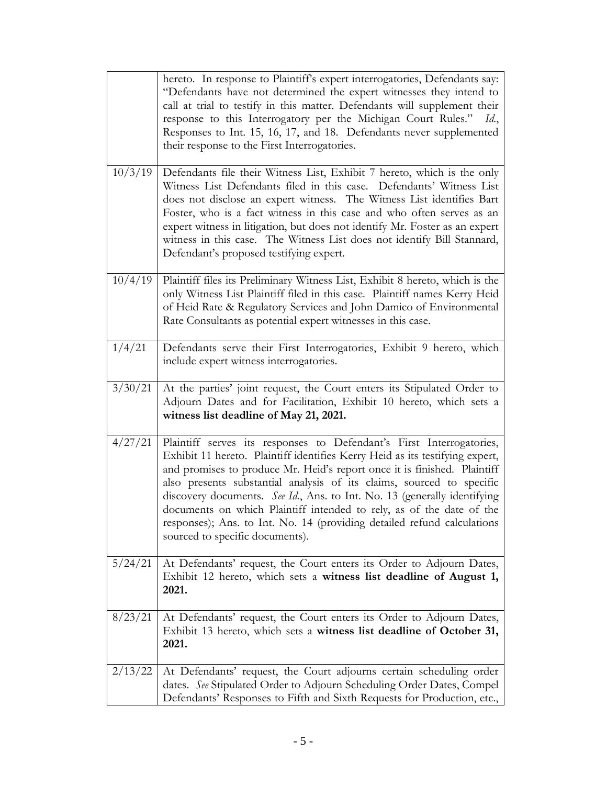|         | hereto. In response to Plaintiff's expert interrogatories, Defendants say:<br>"Defendants have not determined the expert witnesses they intend to<br>call at trial to testify in this matter. Defendants will supplement their<br>response to this Interrogatory per the Michigan Court Rules."<br>Id.,<br>Responses to Int. 15, 16, 17, and 18. Defendants never supplemented<br>their response to the First Interrogatories.                                                                                                                                              |  |
|---------|-----------------------------------------------------------------------------------------------------------------------------------------------------------------------------------------------------------------------------------------------------------------------------------------------------------------------------------------------------------------------------------------------------------------------------------------------------------------------------------------------------------------------------------------------------------------------------|--|
| 10/3/19 | Defendants file their Witness List, Exhibit 7 hereto, which is the only<br>Witness List Defendants filed in this case. Defendants' Witness List<br>does not disclose an expert witness. The Witness List identifies Bart<br>Foster, who is a fact witness in this case and who often serves as an<br>expert witness in litigation, but does not identify Mr. Foster as an expert<br>witness in this case. The Witness List does not identify Bill Stannard,<br>Defendant's proposed testifying expert.                                                                      |  |
| 10/4/19 | Plaintiff files its Preliminary Witness List, Exhibit 8 hereto, which is the<br>only Witness List Plaintiff filed in this case. Plaintiff names Kerry Heid<br>of Heid Rate & Regulatory Services and John Damico of Environmental<br>Rate Consultants as potential expert witnesses in this case.                                                                                                                                                                                                                                                                           |  |
| 1/4/21  | Defendants serve their First Interrogatories, Exhibit 9 hereto, which<br>include expert witness interrogatories.                                                                                                                                                                                                                                                                                                                                                                                                                                                            |  |
| 3/30/21 | At the parties' joint request, the Court enters its Stipulated Order to<br>Adjourn Dates and for Facilitation, Exhibit 10 hereto, which sets a<br>witness list deadline of May 21, 2021.                                                                                                                                                                                                                                                                                                                                                                                    |  |
| 4/27/21 | Plaintiff serves its responses to Defendant's First Interrogatories,<br>Exhibit 11 hereto. Plaintiff identifies Kerry Heid as its testifying expert,<br>and promises to produce Mr. Heid's report once it is finished. Plaintiff<br>also presents substantial analysis of its claims, sourced to specific<br>discovery documents. See Id., Ans. to Int. No. 13 (generally identifying<br>documents on which Plaintiff intended to rely, as of the date of the<br>responses); Ans. to Int. No. 14 (providing detailed refund calculations<br>sourced to specific documents). |  |
| 5/24/21 | At Defendants' request, the Court enters its Order to Adjourn Dates,<br>Exhibit 12 hereto, which sets a witness list deadline of August 1,<br>2021.                                                                                                                                                                                                                                                                                                                                                                                                                         |  |
| 8/23/21 | At Defendants' request, the Court enters its Order to Adjourn Dates,<br>Exhibit 13 hereto, which sets a witness list deadline of October 31,<br>2021.                                                                                                                                                                                                                                                                                                                                                                                                                       |  |
| 2/13/22 | At Defendants' request, the Court adjourns certain scheduling order<br>dates. See Stipulated Order to Adjourn Scheduling Order Dates, Compel<br>Defendants' Responses to Fifth and Sixth Requests for Production, etc.,                                                                                                                                                                                                                                                                                                                                                     |  |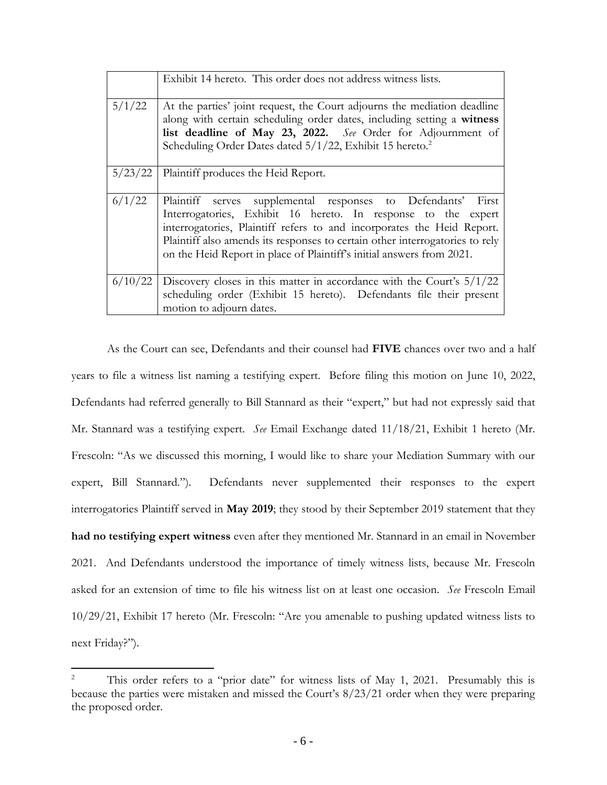|         | Exhibit 14 hereto. This order does not address witness lists.                                                                                                                                                                                                                                                                                                    |  |
|---------|------------------------------------------------------------------------------------------------------------------------------------------------------------------------------------------------------------------------------------------------------------------------------------------------------------------------------------------------------------------|--|
| 5/1/22  | At the parties' joint request, the Court adjourns the mediation deadline<br>along with certain scheduling order dates, including setting a witness<br>list deadline of May 23, 2022. See Order for Adjournment of<br>Scheduling Order Dates dated 5/1/22, Exhibit 15 hereto. <sup>2</sup>                                                                        |  |
| 5/23/22 | Plaintiff produces the Heid Report.                                                                                                                                                                                                                                                                                                                              |  |
| 6/1/22  | Plaintiff serves supplemental responses to Defendants' First<br>Interrogatories, Exhibit 16 hereto. In response to the expert<br>interrogatories, Plaintiff refers to and incorporates the Heid Report.<br>Plaintiff also amends its responses to certain other interrogatories to rely<br>on the Heid Report in place of Plaintiff's initial answers from 2021. |  |
| 6/10/22 | Discovery closes in this matter in accordance with the Court's $5/1/22$<br>scheduling order (Exhibit 15 hereto). Defendants file their present<br>motion to adjourn dates.                                                                                                                                                                                       |  |

As the Court can see, Defendants and their counsel had **FIVE** chances over two and a half years to file a witness list naming a testifying expert. Before filing this motion on June 10, 2022, Defendants had referred generally to Bill Stannard as their "expert," but had not expressly said that Mr. Stannard was a testifying expert. *See* Email Exchange dated 11/18/21, Exhibit 1 hereto (Mr. Frescoln: "As we discussed this morning, I would like to share your Mediation Summary with our expert, Bill Stannard."). Defendants never supplemented their responses to the expert interrogatories Plaintiff served in **May 2019**; they stood by their September 2019 statement that they **had no testifying expert witness** even after they mentioned Mr. Stannard in an email in November 2021. And Defendants understood the importance of timely witness lists, because Mr. Frescoln asked for an extension of time to file his witness list on at least one occasion. *See* Frescoln Email 10/29/21, Exhibit 17 hereto (Mr. Frescoln: "Are you amenable to pushing updated witness lists to next Friday?").

<sup>2</sup> This order refers to a "prior date" for witness lists of May 1, 2021. Presumably this is because the parties were mistaken and missed the Court's 8/23/21 order when they were preparing the proposed order.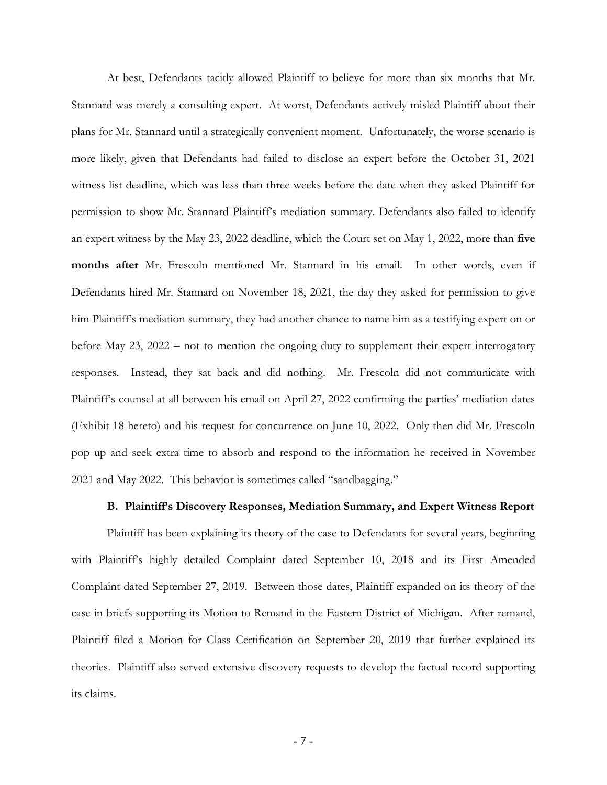At best, Defendants tacitly allowed Plaintiff to believe for more than six months that Mr. Stannard was merely a consulting expert. At worst, Defendants actively misled Plaintiff about their plans for Mr. Stannard until a strategically convenient moment. Unfortunately, the worse scenario is more likely, given that Defendants had failed to disclose an expert before the October 31, 2021 witness list deadline, which was less than three weeks before the date when they asked Plaintiff for permission to show Mr. Stannard Plaintiff's mediation summary. Defendants also failed to identify an expert witness by the May 23, 2022 deadline, which the Court set on May 1, 2022, more than **five months after** Mr. Frescoln mentioned Mr. Stannard in his email. In other words, even if Defendants hired Mr. Stannard on November 18, 2021, the day they asked for permission to give him Plaintiff's mediation summary, they had another chance to name him as a testifying expert on or before May 23, 2022 – not to mention the ongoing duty to supplement their expert interrogatory responses. Instead, they sat back and did nothing. Mr. Frescoln did not communicate with Plaintiff's counsel at all between his email on April 27, 2022 confirming the parties' mediation dates (Exhibit 18 hereto) and his request for concurrence on June 10, 2022. Only then did Mr. Frescoln pop up and seek extra time to absorb and respond to the information he received in November 2021 and May 2022. This behavior is sometimes called "sandbagging."

#### **B. Plaintiff's Discovery Responses, Mediation Summary, and Expert Witness Report**

Plaintiff has been explaining its theory of the case to Defendants for several years, beginning with Plaintiff's highly detailed Complaint dated September 10, 2018 and its First Amended Complaint dated September 27, 2019. Between those dates, Plaintiff expanded on its theory of the case in briefs supporting its Motion to Remand in the Eastern District of Michigan. After remand, Plaintiff filed a Motion for Class Certification on September 20, 2019 that further explained its theories. Plaintiff also served extensive discovery requests to develop the factual record supporting its claims.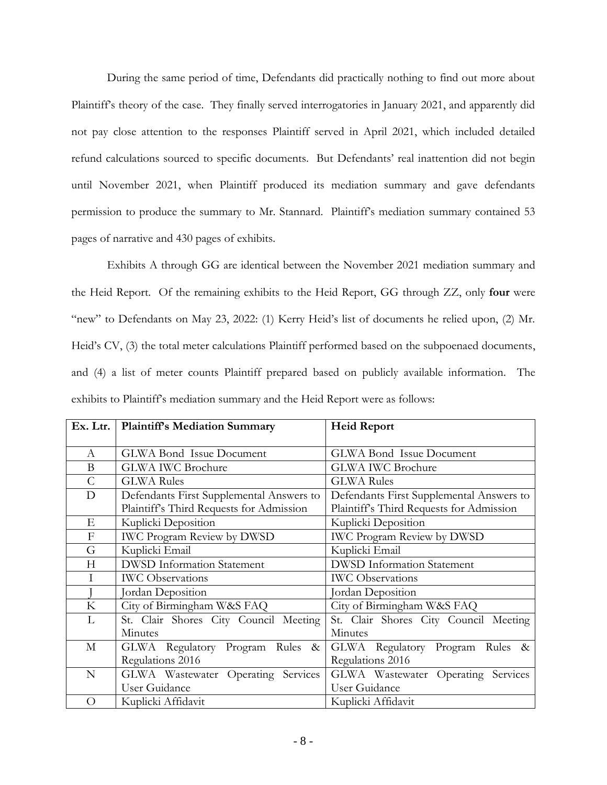During the same period of time, Defendants did practically nothing to find out more about Plaintiff's theory of the case. They finally served interrogatories in January 2021, and apparently did not pay close attention to the responses Plaintiff served in April 2021, which included detailed refund calculations sourced to specific documents. But Defendants' real inattention did not begin until November 2021, when Plaintiff produced its mediation summary and gave defendants permission to produce the summary to Mr. Stannard. Plaintiff's mediation summary contained 53 pages of narrative and 430 pages of exhibits.

Exhibits A through GG are identical between the November 2021 mediation summary and the Heid Report. Of the remaining exhibits to the Heid Report, GG through ZZ, only **four** were "new" to Defendants on May 23, 2022: (1) Kerry Heid's list of documents he relied upon, (2) Mr. Heid's CV, (3) the total meter calculations Plaintiff performed based on the subpoenaed documents, and (4) a list of meter counts Plaintiff prepared based on publicly available information. The exhibits to Plaintiff's mediation summary and the Heid Report were as follows:

|               | Ex. Ltr.   Plaintiff's Mediation Summary | <b>Heid Report</b>                       |
|---------------|------------------------------------------|------------------------------------------|
|               |                                          |                                          |
| A             | <b>GLWA Bond Issue Document</b>          | <b>GLWA Bond Issue Document</b>          |
| B             | <b>GLWA IWC Brochure</b>                 | <b>GLWA IWC Brochure</b>                 |
| $\mathcal{C}$ | <b>GLWA Rules</b>                        | <b>GLWA Rules</b>                        |
| D             | Defendants First Supplemental Answers to | Defendants First Supplemental Answers to |
|               | Plaintiff's Third Requests for Admission | Plaintiff's Third Requests for Admission |
| Е             | Kuplicki Deposition                      | Kuplicki Deposition                      |
| F             | <b>IWC Program Review by DWSD</b>        | <b>IWC Program Review by DWSD</b>        |
| G             | Kuplicki Email                           | Kuplicki Email                           |
| Н             | <b>DWSD</b> Information Statement        | <b>DWSD</b> Information Statement        |
|               | <b>IWC</b> Observations                  | <b>IWC</b> Observations                  |
|               | Jordan Deposition                        | Jordan Deposition                        |
| K             | City of Birmingham W&S FAQ               | City of Birmingham W&S FAQ               |
| L             | St. Clair Shores City Council Meeting    | St. Clair Shores City Council Meeting    |
|               | Minutes                                  | Minutes                                  |
| М             | GLWA Regulatory Program Rules<br>$\&$    | GLWA Regulatory Program Rules<br>$\&$    |
|               | Regulations 2016                         | Regulations 2016                         |
| N             | GLWA Wastewater Operating Services       | GLWA Wastewater Operating<br>Services    |
|               | User Guidance                            | User Guidance                            |
| $\bigcirc$    | Kuplicki Affidavit                       | Kuplicki Affidavit                       |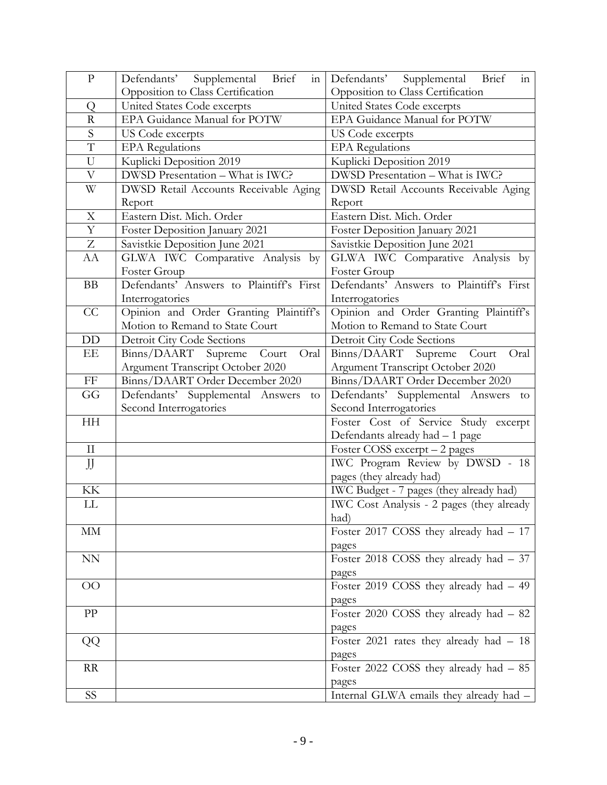| $\mathbf{P}$            | Defendants' Supplemental<br>Brief<br>$\overline{\text{in}}$ | Defendants'<br>Supplemental<br>Brief<br>in |
|-------------------------|-------------------------------------------------------------|--------------------------------------------|
|                         | Opposition to Class Certification                           | Opposition to Class Certification          |
| Q                       | United States Code excerpts                                 | United States Code excerpts                |
| $\overline{\mathrm{R}}$ | EPA Guidance Manual for POTW                                | EPA Guidance Manual for POTW               |
| $\overline{S}$          | US Code excerpts                                            | US Code excerpts                           |
| $\overline{T}$          | <b>EPA</b> Regulations                                      | <b>EPA</b> Regulations                     |
| U                       | Kuplicki Deposition 2019                                    | Kuplicki Deposition 2019                   |
| V                       | DWSD Presentation - What is IWC?                            | DWSD Presentation - What is IWC?           |
| W                       | DWSD Retail Accounts Receivable Aging                       | DWSD Retail Accounts Receivable Aging      |
|                         | Report                                                      | Report                                     |
| X                       | Eastern Dist. Mich. Order                                   | Eastern Dist. Mich. Order                  |
| $\mathbf Y$             | Foster Deposition January 2021                              | Foster Deposition January 2021             |
| $Z_{\rm}$               | Savistkie Deposition June 2021                              | Savistkie Deposition June 2021             |
| AA                      | GLWA IWC Comparative Analysis by                            | GLWA IWC Comparative Analysis by           |
|                         | Foster Group                                                | Foster Group                               |
| ${\rm BB}$              | Defendants' Answers to Plaintiff's First                    | Defendants' Answers to Plaintiff's First   |
|                         | Interrogatories                                             | Interrogatories                            |
| CC                      | Opinion and Order Granting Plaintiff's                      | Opinion and Order Granting Plaintiff's     |
|                         | Motion to Remand to State Court                             | Motion to Remand to State Court            |
| DD                      | Detroit City Code Sections                                  | Detroit City Code Sections                 |
| EE                      | Binns/DAART Supreme<br>Court<br>Oral                        | Binns/DAART Supreme<br>Court<br>Oral       |
|                         | Argument Transcript October 2020                            | Argument Transcript October 2020           |
| $\rm FF$                | Binns/DAART Order December 2020                             | Binns/DAART Order December 2020            |
| GG                      | Defendants' Supplemental Answers<br>to                      | Defendants' Supplemental Answers<br>to     |
|                         | Second Interrogatories                                      | Second Interrogatories                     |
| HH                      |                                                             | Foster Cost of Service Study excerpt       |
|                         |                                                             | Defendants already had - 1 page            |
| $\prod$                 |                                                             | Foster COSS excerpt - 2 pages              |
| JJ                      |                                                             | IWC Program Review by DWSD - 18            |
|                         |                                                             | pages (they already had)                   |
| KK                      |                                                             | IWC Budget - 7 pages (they already had)    |
| LL                      |                                                             | IWC Cost Analysis - 2 pages (they already  |
|                         |                                                             | had)                                       |
| MM                      |                                                             | Foster 2017 COSS they already had - 17     |
|                         |                                                             | pages                                      |
| ${\rm NN}$              |                                                             | Foster 2018 COSS they already had - 37     |
|                         |                                                             | pages                                      |
| $\overline{O}O$         |                                                             | Foster 2019 COSS they already had - 49     |
|                         |                                                             | pages                                      |
| PP                      |                                                             | Foster 2020 COSS they already had - 82     |
|                         |                                                             | pages                                      |
| QQ                      |                                                             | Foster 2021 rates they already had - 18    |
|                         |                                                             | pages                                      |
| RR                      |                                                             | Foster 2022 COSS they already had - 85     |
|                         |                                                             | pages                                      |
| SS                      |                                                             | Internal GLWA emails they already had -    |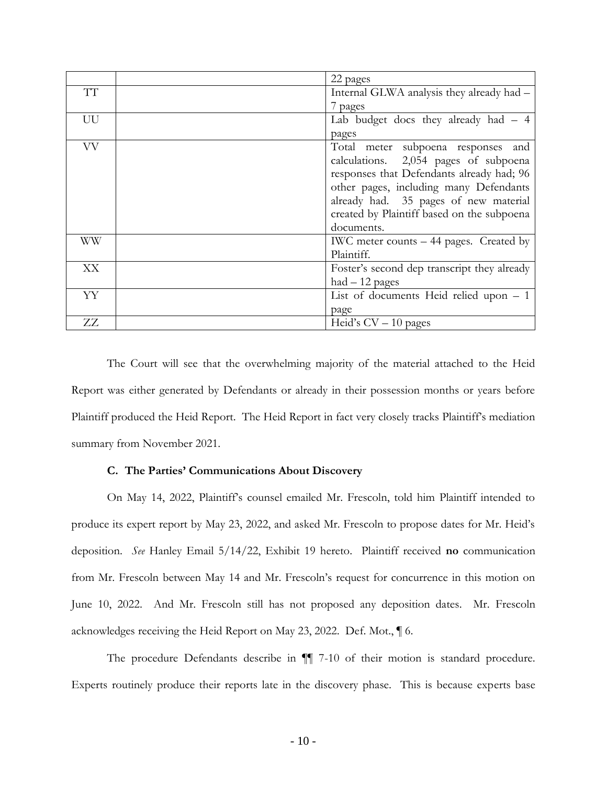|           | 22 pages                                    |
|-----------|---------------------------------------------|
| TT        | Internal GLWA analysis they already had -   |
|           | 7 pages                                     |
| UU        | Lab budget docs they already had $-4$       |
|           | pages                                       |
| <b>VV</b> | Total meter subpoena responses<br>and       |
|           | calculations. 2,054 pages of subpoena       |
|           | responses that Defendants already had; 96   |
|           | other pages, including many Defendants      |
|           | already had. 35 pages of new material       |
|           | created by Plaintiff based on the subpoena  |
|           | documents.                                  |
| WW        | IWC meter counts – 44 pages. Created by     |
|           | Plaintiff.                                  |
| XX        | Foster's second dep transcript they already |
|           | $had - 12$ pages                            |
| YY        | List of documents Heid relied upon $-1$     |
|           | page                                        |
| ZZ        | Heid's $CV - 10$ pages                      |

The Court will see that the overwhelming majority of the material attached to the Heid Report was either generated by Defendants or already in their possession months or years before Plaintiff produced the Heid Report. The Heid Report in fact very closely tracks Plaintiff's mediation summary from November 2021.

#### **C. The Parties' Communications About Discovery**

On May 14, 2022, Plaintiff's counsel emailed Mr. Frescoln, told him Plaintiff intended to produce its expert report by May 23, 2022, and asked Mr. Frescoln to propose dates for Mr. Heid's deposition. *See* Hanley Email 5/14/22, Exhibit 19 hereto. Plaintiff received **no** communication from Mr. Frescoln between May 14 and Mr. Frescoln's request for concurrence in this motion on June 10, 2022. And Mr. Frescoln still has not proposed any deposition dates. Mr. Frescoln acknowledges receiving the Heid Report on May 23, 2022. Def. Mot., ¶ 6.

The procedure Defendants describe in ¶¶ 7-10 of their motion is standard procedure. Experts routinely produce their reports late in the discovery phase. This is because experts base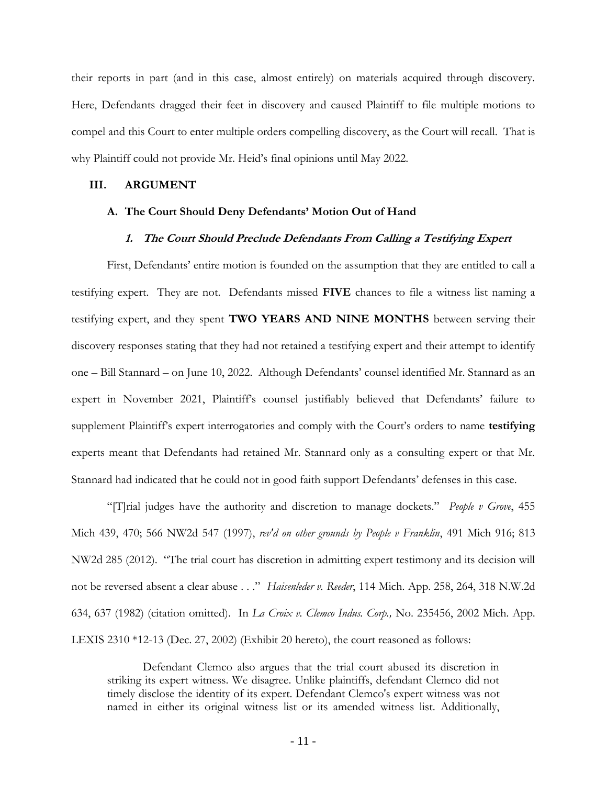their reports in part (and in this case, almost entirely) on materials acquired through discovery. Here, Defendants dragged their feet in discovery and caused Plaintiff to file multiple motions to compel and this Court to enter multiple orders compelling discovery, as the Court will recall. That is why Plaintiff could not provide Mr. Heid's final opinions until May 2022.

#### **III. ARGUMENT**

#### **A. The Court Should Deny Defendants' Motion Out of Hand**

#### **1. The Court Should Preclude Defendants From Calling a Testifying Expert**

First, Defendants' entire motion is founded on the assumption that they are entitled to call a testifying expert. They are not. Defendants missed **FIVE** chances to file a witness list naming a testifying expert, and they spent **TWO YEARS AND NINE MONTHS** between serving their discovery responses stating that they had not retained a testifying expert and their attempt to identify one – Bill Stannard – on June 10, 2022. Although Defendants' counsel identified Mr. Stannard as an expert in November 2021, Plaintiff's counsel justifiably believed that Defendants' failure to supplement Plaintiff's expert interrogatories and comply with the Court's orders to name **testifying**  experts meant that Defendants had retained Mr. Stannard only as a consulting expert or that Mr. Stannard had indicated that he could not in good faith support Defendants' defenses in this case.

"[T]rial judges have the authority and discretion to manage dockets." *People v Grove*, 455 Mich 439, 470; 566 NW2d 547 (1997), *rev'd on other grounds by People v Franklin*, 491 Mich 916; 813 NW2d 285 (2012). "The trial court has discretion in admitting expert testimony and its decision will not be reversed absent a clear abuse . . ." *Haisenleder v. Reeder*, 114 Mich. App. 258, 264, 318 N.W.2d 634, 637 (1982) (citation omitted). In *La Croix v. Clemco Indus. Corp.,* No. 235456, 2002 Mich. App. LEXIS 2310 \*12-13 (Dec. 27, 2002) (Exhibit 20 hereto), the court reasoned as follows:

Defendant Clemco also argues that the trial court abused its discretion in striking its expert witness. We disagree. Unlike plaintiffs, defendant Clemco did not timely disclose the identity of its expert. Defendant Clemco's expert witness was not named in either its original witness list or its amended witness list. Additionally,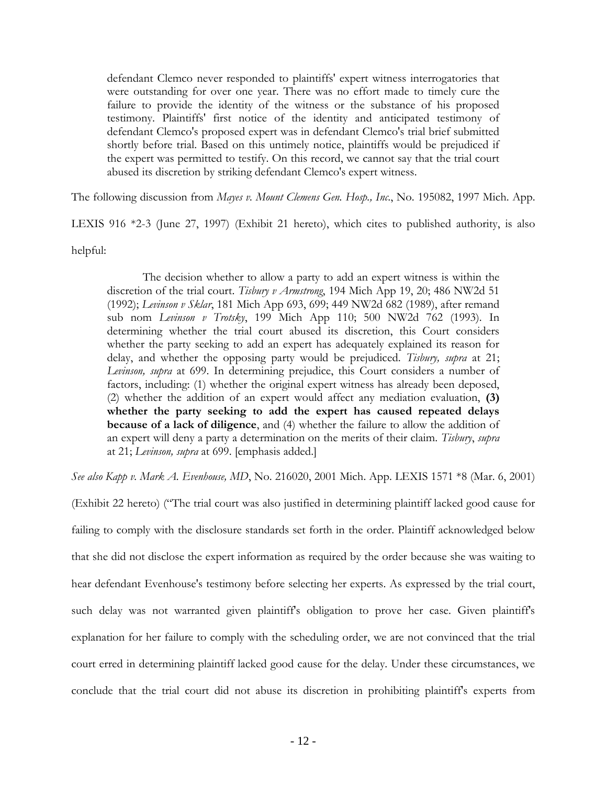defendant Clemco never responded to plaintiffs' expert witness interrogatories that were outstanding for over one year. There was no effort made to timely cure the failure to provide the identity of the witness or the substance of his proposed testimony. Plaintiffs' first notice of the identity and anticipated testimony of defendant Clemco's proposed expert was in defendant Clemco's trial brief submitted shortly before trial. Based on this untimely notice, plaintiffs would be prejudiced if the expert was permitted to testify. On this record, we cannot say that the trial court abused its discretion by striking defendant Clemco's expert witness.

The following discussion from *Mayes v. Mount Clemens Gen. Hosp., Inc*., No. 195082, 1997 Mich. App.

LEXIS 916 \*2-3 (June 27, 1997) (Exhibit 21 hereto), which cites to published authority, is also

helpful:

The decision whether to allow a party to add an expert witness is within the discretion of the trial court. *Tisbury v Armstrong*, 194 Mich App 19, 20; 486 NW2d 51 (1992); *Levinson v Sklar*, 181 Mich App 693, 699; 449 NW2d 682 (1989), after remand sub nom *Levinson v Trotsky*, 199 Mich App 110; 500 NW2d 762 (1993). In determining whether the trial court abused its discretion, this Court considers whether the party seeking to add an expert has adequately explained its reason for delay, and whether the opposing party would be prejudiced. *Tisbury, supra* at 21; *Levinson, supra* at 699. In determining prejudice, this Court considers a number of factors, including: (1) whether the original expert witness has already been deposed, (2) whether the addition of an expert would affect any mediation evaluation, **(3) whether the party seeking to add the expert has caused repeated delays because of a lack of diligence**, and (4) whether the failure to allow the addition of an expert will deny a party a determination on the merits of their claim. *Tisbury*, *supra* at 21; *Levinson, supra* at 699. [emphasis added.]

*See also Kapp v. Mark A. Evenhouse, MD*, No. 216020, 2001 Mich. App. LEXIS 1571 \*8 (Mar. 6, 2001)

(Exhibit 22 hereto) ("The trial court was also justified in determining plaintiff lacked good cause for failing to comply with the disclosure standards set forth in the order. Plaintiff acknowledged below that she did not disclose the expert information as required by the order because she was waiting to hear defendant Evenhouse's testimony before selecting her experts. As expressed by the trial court, such delay was not warranted given plaintiff's obligation to prove her case. Given plaintiff's explanation for her failure to comply with the scheduling order, we are not convinced that the trial court erred in determining plaintiff lacked good cause for the delay. Under these circumstances, we conclude that the trial court did not abuse its discretion in prohibiting plaintiff's experts from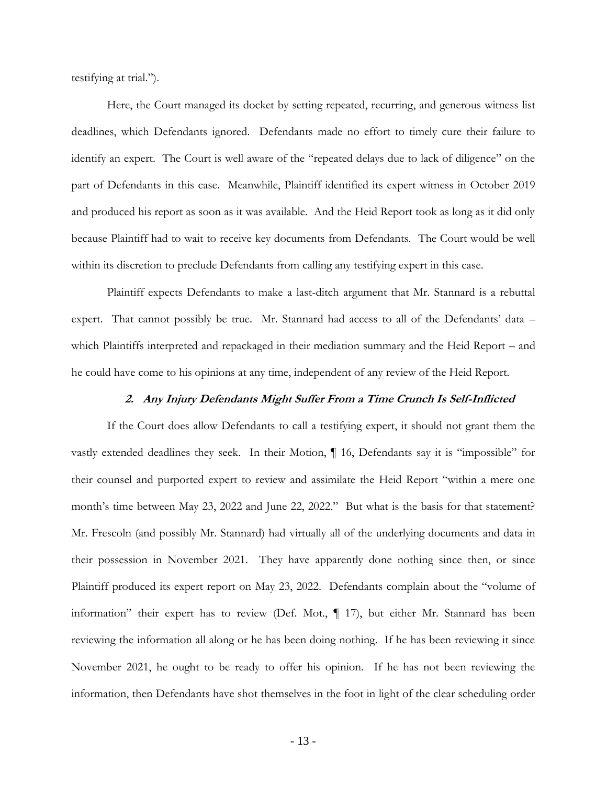testifying at trial.").

Here, the Court managed its docket by setting repeated, recurring, and generous witness list deadlines, which Defendants ignored. Defendants made no effort to timely cure their failure to identify an expert. The Court is well aware of the "repeated delays due to lack of diligence" on the part of Defendants in this case. Meanwhile, Plaintiff identified its expert witness in October 2019 and produced his report as soon as it was available. And the Heid Report took as long as it did only because Plaintiff had to wait to receive key documents from Defendants. The Court would be well within its discretion to preclude Defendants from calling any testifying expert in this case.

Plaintiff expects Defendants to make a last-ditch argument that Mr. Stannard is a rebuttal expert. That cannot possibly be true. Mr. Stannard had access to all of the Defendants' data – which Plaintiffs interpreted and repackaged in their mediation summary and the Heid Report – and he could have come to his opinions at any time, independent of any review of the Heid Report.

#### **2. Any Injury Defendants Might Suffer From a Time Crunch Is Self-Inflicted**

If the Court does allow Defendants to call a testifying expert, it should not grant them the vastly extended deadlines they seek. In their Motion, ¶ 16, Defendants say it is "impossible" for their counsel and purported expert to review and assimilate the Heid Report "within a mere one month's time between May 23, 2022 and June 22, 2022." But what is the basis for that statement? Mr. Frescoln (and possibly Mr. Stannard) had virtually all of the underlying documents and data in their possession in November 2021. They have apparently done nothing since then, or since Plaintiff produced its expert report on May 23, 2022. Defendants complain about the "volume of information" their expert has to review (Def. Mot., ¶ 17), but either Mr. Stannard has been reviewing the information all along or he has been doing nothing. If he has been reviewing it since November 2021, he ought to be ready to offer his opinion. If he has not been reviewing the information, then Defendants have shot themselves in the foot in light of the clear scheduling order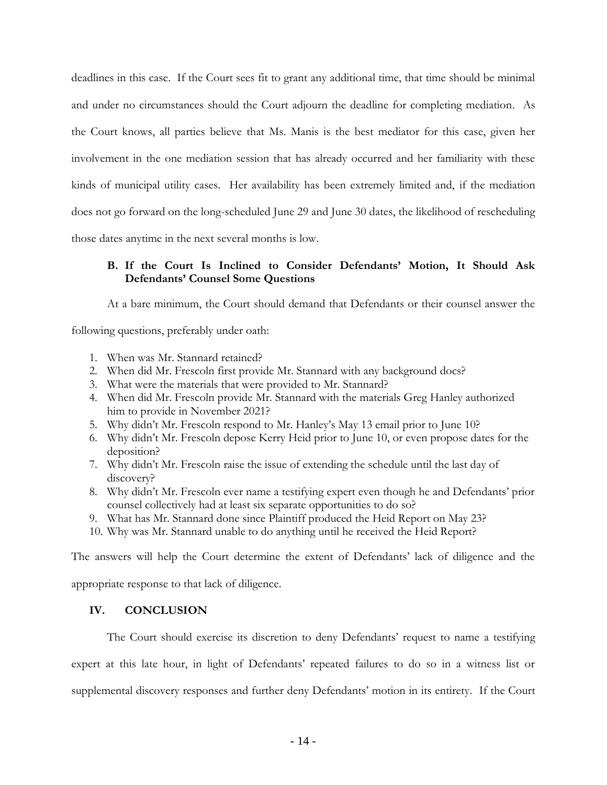deadlines in this case. If the Court sees fit to grant any additional time, that time should be minimal and under no circumstances should the Court adjourn the deadline for completing mediation. As the Court knows, all parties believe that Ms. Manis is the best mediator for this case, given her involvement in the one mediation session that has already occurred and her familiarity with these kinds of municipal utility cases. Her availability has been extremely limited and, if the mediation does not go forward on the long-scheduled June 29 and June 30 dates, the likelihood of rescheduling those dates anytime in the next several months is low.

## **B. If the Court Is Inclined to Consider Defendants' Motion, It Should Ask Defendants' Counsel Some Questions**

At a bare minimum, the Court should demand that Defendants or their counsel answer the

following questions, preferably under oath:

- 1. When was Mr. Stannard retained?
- 2. When did Mr. Frescoln first provide Mr. Stannard with any background docs?
- 3. What were the materials that were provided to Mr. Stannard?
- 4. When did Mr. Frescoln provide Mr. Stannard with the materials Greg Hanley authorized him to provide in November 2021?
- 5. Why didn't Mr. Frescoln respond to Mr. Hanley's May 13 email prior to June 10?
- 6. Why didn't Mr. Frescoln depose Kerry Heid prior to June 10, or even propose dates for the deposition?
- 7. Why didn't Mr. Frescoln raise the issue of extending the schedule until the last day of discovery?
- 8. Why didn't Mr. Frescoln ever name a testifying expert even though he and Defendants' prior counsel collectively had at least six separate opportunities to do so?
- 9. What has Mr. Stannard done since Plaintiff produced the Heid Report on May 23?
- 10. Why was Mr. Stannard unable to do anything until he received the Heid Report?

The answers will help the Court determine the extent of Defendants' lack of diligence and the

appropriate response to that lack of diligence.

### **IV. CONCLUSION**

The Court should exercise its discretion to deny Defendants' request to name a testifying expert at this late hour, in light of Defendants' repeated failures to do so in a witness list or supplemental discovery responses and further deny Defendants' motion in its entirety. If the Court